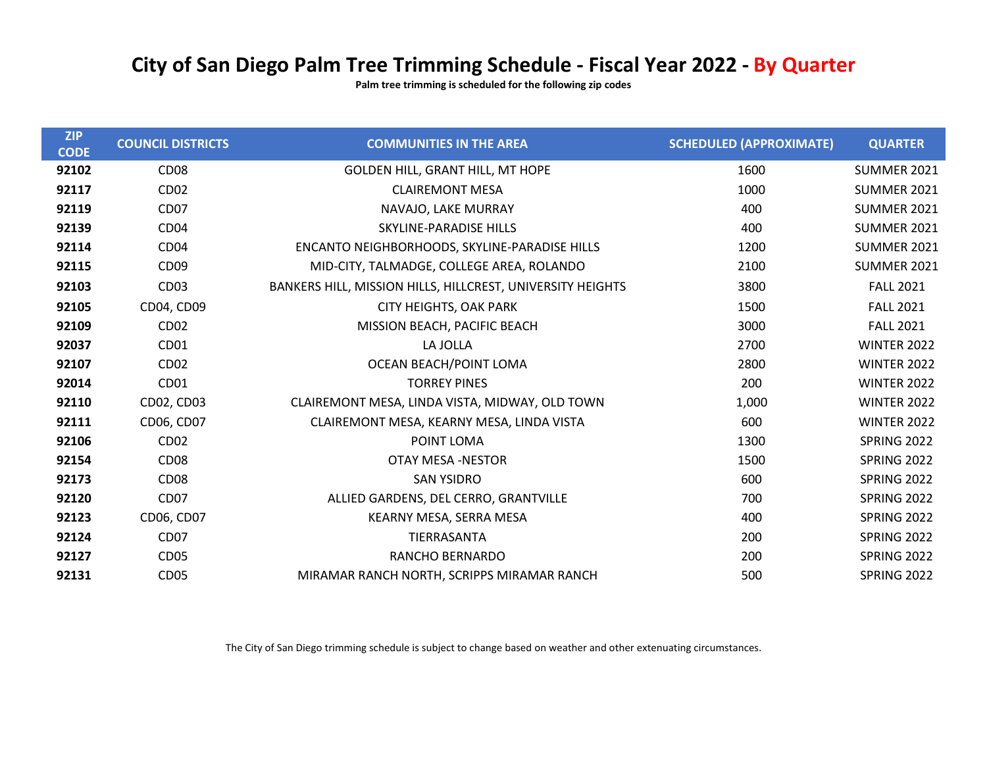## City of San Diego Palm Tree Trimming Schedule - Fiscal Year 2022 - By Quarter

Palm tree trimming is scheduled for the following zip codes

| <b>ZIP</b><br><b>CODE</b> | <b>COUNCIL DISTRICTS</b> | <b>COMMUNITIES IN THE AREA</b>                             | <b>SCHEDULED (APPROXIMATE)</b> | <b>QUARTER</b>     |
|---------------------------|--------------------------|------------------------------------------------------------|--------------------------------|--------------------|
| 92102                     | CD <sub>08</sub>         | <b>GOLDEN HILL, GRANT HILL, MT HOPE</b>                    | 1600                           | SUMMER 2021        |
| 92117                     | CD <sub>02</sub>         | <b>CLAIREMONT MESA</b>                                     | 1000                           | SUMMER 2021        |
| 92119                     | CD <sub>07</sub>         | NAVAJO, LAKE MURRAY                                        | 400                            | SUMMER 2021        |
| 92139                     | CD <sub>04</sub>         | SKYLINE-PARADISE HILLS                                     | 400                            | SUMMER 2021        |
| 92114                     | CD <sub>04</sub>         | ENCANTO NEIGHBORHOODS, SKYLINE-PARADISE HILLS              | 1200                           | SUMMER 2021        |
| 92115                     | CD <sub>09</sub>         | MID-CITY, TALMADGE, COLLEGE AREA, ROLANDO                  | 2100                           | SUMMER 2021        |
| 92103                     | CD <sub>03</sub>         | BANKERS HILL, MISSION HILLS, HILLCREST, UNIVERSITY HEIGHTS | 3800                           | <b>FALL 2021</b>   |
| 92105                     | CD04, CD09               | <b>CITY HEIGHTS, OAK PARK</b>                              | 1500                           | <b>FALL 2021</b>   |
| 92109                     | CD <sub>02</sub>         | MISSION BEACH, PACIFIC BEACH                               | 3000                           | <b>FALL 2021</b>   |
| 92037                     | CD <sub>01</sub>         | LA JOLLA                                                   | 2700                           | <b>WINTER 2022</b> |
| 92107                     | CD <sub>02</sub>         | OCEAN BEACH/POINT LOMA                                     | 2800                           | <b>WINTER 2022</b> |
| 92014                     | CD <sub>01</sub>         | <b>TORREY PINES</b>                                        | 200                            | <b>WINTER 2022</b> |
| 92110                     | CD02, CD03               | CLAIREMONT MESA, LINDA VISTA, MIDWAY, OLD TOWN             | 1,000                          | <b>WINTER 2022</b> |
| 92111                     | CD06, CD07               | CLAIREMONT MESA, KEARNY MESA, LINDA VISTA                  | 600                            | <b>WINTER 2022</b> |
| 92106                     | CD <sub>02</sub>         | POINT LOMA                                                 | 1300                           | SPRING 2022        |
| 92154                     | CD <sub>08</sub>         | <b>OTAY MESA -NESTOR</b>                                   | 1500                           | SPRING 2022        |
| 92173                     | CD <sub>08</sub>         | <b>SAN YSIDRO</b>                                          | 600                            | SPRING 2022        |
| 92120                     | CD <sub>07</sub>         | ALLIED GARDENS, DEL CERRO, GRANTVILLE                      | 700                            | SPRING 2022        |
| 92123                     | CD06, CD07               | KEARNY MESA, SERRA MESA                                    | 400                            | SPRING 2022        |
| 92124                     | CD <sub>07</sub>         | TIERRASANTA                                                | 200                            | <b>SPRING 2022</b> |
| 92127                     | CD <sub>05</sub>         | <b>RANCHO BERNARDO</b>                                     | 200                            | <b>SPRING 2022</b> |
| 92131                     | CD <sub>05</sub>         | MIRAMAR RANCH NORTH, SCRIPPS MIRAMAR RANCH                 | 500                            | SPRING 2022        |

The City of San Diego trimming schedule is subject to change based on weather and other extenuating circumstances.